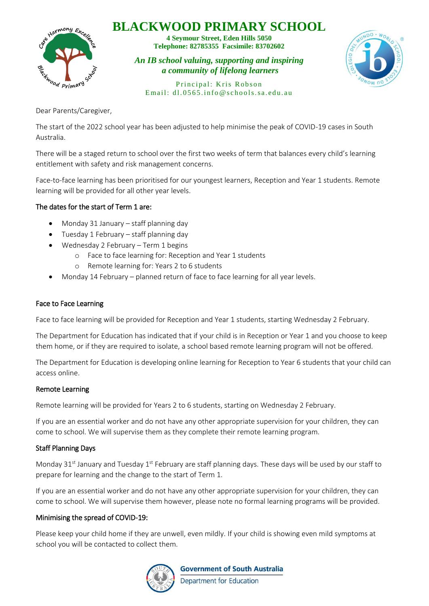## **BLACKWOOD PRIMARY SCHOOL**



**4 Seymour Street, Eden Hills 5050 Telephone: 82785355 Facsimile: 83702602**

*An IB school valuing, supporting and inspiring a community of lifelong learners*



Principal: Kris Robson Email:  $d1.0565$ , info@schools.sa.edu.au

Dear Parents/Caregiver,

The start of the 2022 school year has been adjusted to help minimise the peak of COVID-19 cases in South Australia.

There will be a staged return to school over the first two weeks of term that balances every child's learning entitlement with safety and risk management concerns.

Face-to-face learning has been prioritised for our youngest learners, Reception and Year 1 students. Remote learning will be provided for all other year levels.

## The dates for the start of Term 1 are:

- Monday 31 January staff planning day
- Tuesday 1 February staff planning day
- Wednesday 2 February Term 1 begins
	- o Face to face learning for: Reception and Year 1 students
	- o Remote learning for: Years 2 to 6 students
- Monday 14 February planned return of face to face learning for all year levels.

#### Face to Face Learning

Face to face learning will be provided for Reception and Year 1 students, starting Wednesday 2 February.

The Department for Education has indicated that if your child is in Reception or Year 1 and you choose to keep them home, or if they are required to isolate, a school based remote learning program will not be offered.

The Department for Education is developing online learning for Reception to Year 6 students that your child can access online.

#### Remote Learning

Remote learning will be provided for Years 2 to 6 students, starting on Wednesday 2 February.

If you are an essential worker and do not have any other appropriate supervision for your children, they can come to school. We will supervise them as they complete their remote learning program.

## Staff Planning Days

Monday 31<sup>st</sup> January and Tuesday 1<sup>st</sup> February are staff planning days. These days will be used by our staff to prepare for learning and the change to the start of Term 1.

If you are an essential worker and do not have any other appropriate supervision for your children, they can come to school. We will supervise them however, please note no formal learning programs will be provided.

#### Minimising the spread of COVID-19:

Please keep your child home if they are unwell, even mildly. If your child is showing even mild symptoms at school you will be contacted to collect them.